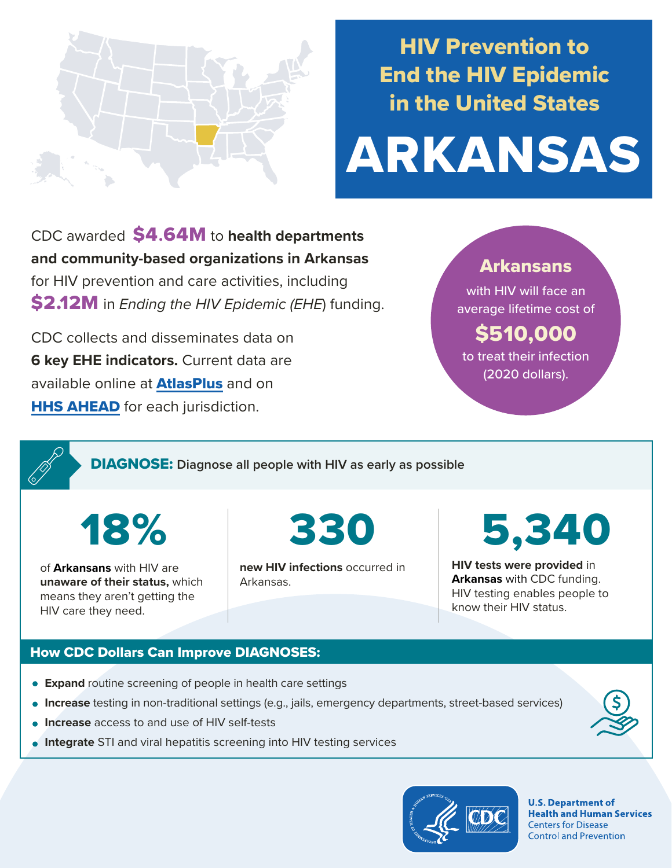

# HIV Prevention to End the HIV Epidemic in the United States

# ARKANSAS

CDC awarded \$4**.**64M to **health departments and community-based organizations in Arkansas**  for HIV prevention and care activities, including \$2.12M in *Ending the HIV Epidemic (EHE*) funding.

CDC collects and disseminates data on **6 key EHE indicators.** Current data are available online at **[AtlasPlus](https://www.cdc.gov/nchhstp/atlas/index.htm)** and on **[HHS AHEAD](https://ahead.hiv.gov/)** for each jurisdiction.

# Arkansans

with HIV will face an average lifetime cost of

# \$510,000 to treat their infection

(2020 dollars).

DIAGNOSE: **Diagnose all people with HIV as early as possible** 

of **Arkansans** with HIV are **unaware of their status,** which means they aren't getting the HIV care they need.

18% 330

**new HIV infections** occurred in Arkansas.

5,340

**HIV tests were provided** in **Arkansas** with CDC funding. HIV testing enables people to know their HIV status.

# How CDC Dollars Can Improve DIAGNOSES:

- **Expand** routine screening of people in health care settings
- **Increase** testing in non-traditional settings (e.g., jails, emergency departments, street-based services)
- **Increase** access to and use of HIV self-tests
- **Integrate** STI and viral hepatitis screening into HIV testing services



**U.S. Department of Health and Human Services Centers for Disease Control and Prevention**